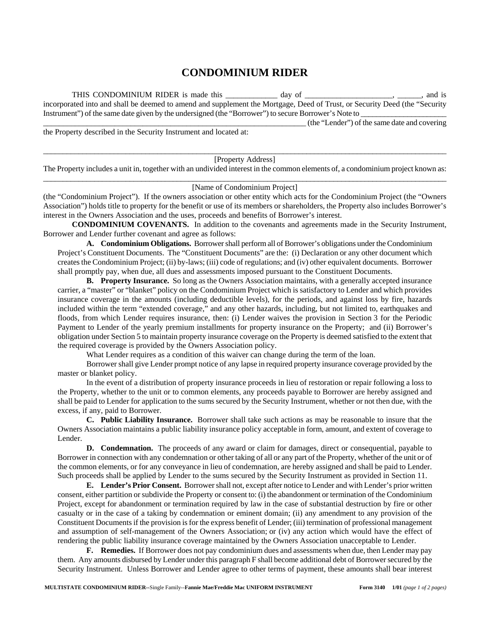## **CONDOMINIUM RIDER**

THIS CONDOMINIUM RIDER is made this \_\_\_\_\_\_\_\_\_\_\_\_ day of \_\_\_\_\_\_\_\_\_\_\_\_\_\_\_\_\_\_\_\_, \_\_\_\_\_, and is incorporated into and shall be deemed to amend and supplement the Mortgage, Deed of Trust, or Security Deed (the "Security Instrument") of the same date given by the undersigned (the "Borrower") to secure Borrower's Note to \_\_\_\_\_\_\_\_\_\_\_\_\_\_\_\_\_\_\_\_\_\_\_\_\_\_\_\_\_\_\_\_\_\_\_\_\_\_\_\_\_\_\_\_\_\_\_\_\_\_\_\_\_\_\_\_\_\_\_\_\_\_\_\_\_\_ (the "Lender") of the same date and covering

the Property described in the Security Instrument and located at:

## \_\_\_\_\_\_\_\_\_\_\_\_\_\_\_\_\_\_\_\_\_\_\_\_\_\_\_\_\_\_\_\_\_\_\_\_\_\_\_\_\_\_\_\_\_\_\_\_\_\_\_\_\_\_\_\_\_\_\_\_\_\_\_\_\_\_\_\_\_\_\_\_\_\_\_\_\_\_\_\_\_\_\_\_\_\_\_\_\_\_\_\_\_\_\_\_\_\_\_\_\_\_\_ [Property Address]

The Property includes a unit in, together with an undivided interest in the common elements of, a condominium project known as:  $\_$  , and the set of the set of the set of the set of the set of the set of the set of the set of the set of the set of the set of the set of the set of the set of the set of the set of the set of the set of the set of th

## [Name of Condominium Project]

(the "Condominium Project"). If the owners association or other entity which acts for the Condominium Project (the "Owners Association") holds title to property for the benefit or use of its members or shareholders, the Property also includes Borrower's interest in the Owners Association and the uses, proceeds and benefits of Borrower's interest.

**CONDOMINIUM COVENANTS.** In addition to the covenants and agreements made in the Security Instrument, Borrower and Lender further covenant and agree as follows:

**A. Condominium Obligations.** Borrower shall perform all of Borrower's obligations under the Condominium Project's Constituent Documents. The "Constituent Documents" are the: (i) Declaration or any other document which creates the Condominium Project; (ii) by-laws; (iii) code of regulations; and (iv) other equivalent documents. Borrower shall promptly pay, when due, all dues and assessments imposed pursuant to the Constituent Documents.

**B. Property Insurance.** So long as the Owners Association maintains, with a generally accepted insurance carrier, a "master" or "blanket" policy on the Condominium Project which is satisfactory to Lender and which provides insurance coverage in the amounts (including deductible levels), for the periods, and against loss by fire, hazards included within the term "extended coverage," and any other hazards, including, but not limited to, earthquakes and floods, from which Lender requires insurance, then: (i) Lender waives the provision in Section 3 for the Periodic Payment to Lender of the yearly premium installments for property insurance on the Property; and (ii) Borrower's obligation under Section 5 to maintain property insurance coverage on the Property is deemed satisfied to the extent that the required coverage is provided by the Owners Association policy.

What Lender requires as a condition of this waiver can change during the term of the loan.

Borrower shall give Lender prompt notice of any lapse in required property insurance coverage provided by the master or blanket policy.

In the event of a distribution of property insurance proceeds in lieu of restoration or repair following a loss to the Property, whether to the unit or to common elements, any proceeds payable to Borrower are hereby assigned and shall be paid to Lender for application to the sums secured by the Security Instrument, whether or not then due, with the excess, if any, paid to Borrower.

**C. Public Liability Insurance.** Borrower shall take such actions as may be reasonable to insure that the Owners Association maintains a public liability insurance policy acceptable in form, amount, and extent of coverage to Lender.

**D.** Condemnation. The proceeds of any award or claim for damages, direct or consequential, payable to Borrower in connection with any condemnation or other taking of all or any part of the Property, whether of the unit or of the common elements, or for any conveyance in lieu of condemnation, are hereby assigned and shall be paid to Lender. Such proceeds shall be applied by Lender to the sums secured by the Security Instrument as provided in Section 11.

**E. Lender's Prior Consent.** Borrower shall not, except after notice to Lender and with Lender's prior written consent, either partition or subdivide the Property or consent to: (i) the abandonment or termination of the Condominium Project, except for abandonment or termination required by law in the case of substantial destruction by fire or other casualty or in the case of a taking by condemnation or eminent domain; (ii) any amendment to any provision of the Constituent Documents if the provision is for the express benefit of Lender; (iii) termination of professional management and assumption of self-management of the Owners Association; or (iv) any action which would have the effect of rendering the public liability insurance coverage maintained by the Owners Association unacceptable to Lender.

**F. Remedies.** If Borrower does not pay condominium dues and assessments when due, then Lender may pay them. Any amounts disbursed by Lender under this paragraph F shall become additional debt of Borrower secured by the Security Instrument. Unless Borrower and Lender agree to other terms of payment, these amounts shall bear interest